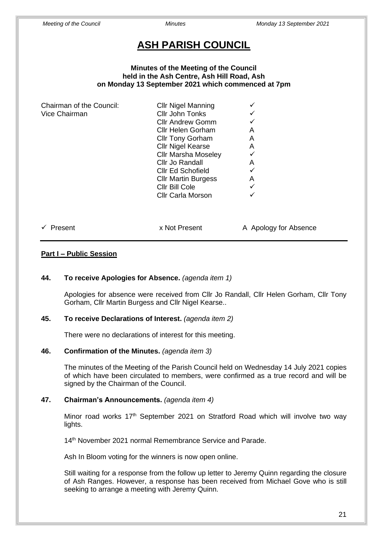# **ASH PARISH COUNCIL**

#### **Minutes of the Meeting of the Council held in the Ash Centre, Ash Hill Road, Ash on Monday 13 September 2021 which commenced at 7pm**

| Chairman of the Council: | <b>Cllr Nigel Manning</b>  |   |
|--------------------------|----------------------------|---|
| Vice Chairman            | Cllr John Tonks            |   |
|                          | <b>Cllr Andrew Gomm</b>    |   |
|                          | Cllr Helen Gorham          | А |
|                          | <b>Cllr Tony Gorham</b>    | Α |
|                          | <b>Cllr Nigel Kearse</b>   | A |
|                          | <b>Cllr Marsha Moseley</b> |   |
|                          | Cllr Jo Randall            | А |
|                          | <b>CIIr Ed Schofield</b>   |   |
|                          | <b>CIIr Martin Burgess</b> | А |
|                          | Cllr Bill Cole             |   |
|                          | Cllr Carla Morson          |   |
|                          |                            |   |
|                          |                            |   |
|                          |                            |   |

✓ Present x Not Present A Apology for Absence

#### **Part I – Public Session**

#### **44. To receive Apologies for Absence.** *(agenda item 1)*

Apologies for absence were received from Cllr Jo Randall, Cllr Helen Gorham, Cllr Tony Gorham, Cllr Martin Burgess and Cllr Nigel Kearse..

#### **45. To receive Declarations of Interest.** *(agenda item 2)*

There were no declarations of interest for this meeting.

#### **46. Confirmation of the Minutes.** *(agenda item 3)*

The minutes of the Meeting of the Parish Council held on Wednesday 14 July 2021 copies of which have been circulated to members, were confirmed as a true record and will be signed by the Chairman of the Council.

#### **47. Chairman's Announcements.** *(agenda item 4)*

Minor road works 17<sup>th</sup> September 2021 on Stratford Road which will involve two way lights.

14<sup>th</sup> November 2021 normal Remembrance Service and Parade.

Ash In Bloom voting for the winners is now open online.

Still waiting for a response from the follow up letter to Jeremy Quinn regarding the closure of Ash Ranges. However, a response has been received from Michael Gove who is still seeking to arrange a meeting with Jeremy Quinn.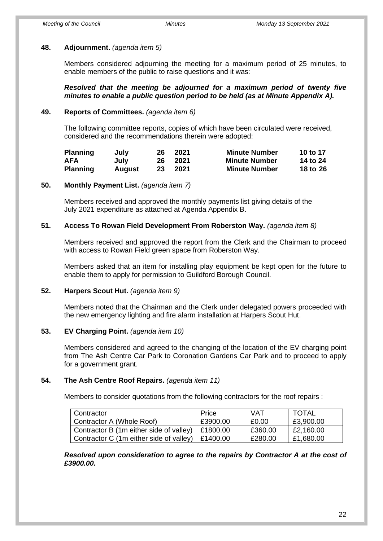### **48. Adjournment.** *(agenda item 5)*

Members considered adjourning the meeting for a maximum period of 25 minutes, to enable members of the public to raise questions and it was:

*Resolved that the meeting be adjourned for a maximum period of twenty five minutes to enable a public question period to be held (as at Minute Appendix A).*

### **49. Reports of Committees.** *(agenda item 6)*

The following committee reports, copies of which have been circulated were received, considered and the recommendations therein were adopted:

| <b>Planning</b> | July   | 26 | 2021 | <b>Minute Number</b> | 10 to 17 |
|-----------------|--------|----|------|----------------------|----------|
| <b>AFA</b>      | July   | 26 | 2021 | <b>Minute Number</b> | 14 to 24 |
| <b>Planning</b> | August | 23 | 2021 | <b>Minute Number</b> | 18 to 26 |

### **50. Monthly Payment List.** *(agenda item 7)*

Members received and approved the monthly payments list giving details of the July 2021 expenditure as attached at Agenda Appendix B.

### **51. Access To Rowan Field Development From Roberston Way.** *(agenda item 8)*

Members received and approved the report from the Clerk and the Chairman to proceed with access to Rowan Field green space from Roberston Way.

Members asked that an item for installing play equipment be kept open for the future to enable them to apply for permission to Guildford Borough Council.

### **52. Harpers Scout Hut.** *(agenda item 9)*

Members noted that the Chairman and the Clerk under delegated powers proceeded with the new emergency lighting and fire alarm installation at Harpers Scout Hut.

### **53. EV Charging Point.** *(agenda item 10)*

Members considered and agreed to the changing of the location of the EV charging point from The Ash Centre Car Park to Coronation Gardens Car Park and to proceed to apply for a government grant.

### **54. The Ash Centre Roof Repairs.** *(agenda item 11)*

Members to consider quotations from the following contractors for the roof repairs :

| Contractor                              | Price    | VAT     | <b>TOTAL</b> |
|-----------------------------------------|----------|---------|--------------|
| Contractor A (Whole Roof)               | £3900.00 | £0.00   | £3,900.00    |
| Contractor B (1m either side of valley) | £1800.00 | £360.00 | £2,160.00    |
| Contractor C (1m either side of valley) | E1400.00 | £280.00 | £1,680.00    |

*Resolved upon consideration to agree to the repairs by Contractor A at the cost of £3900.00.*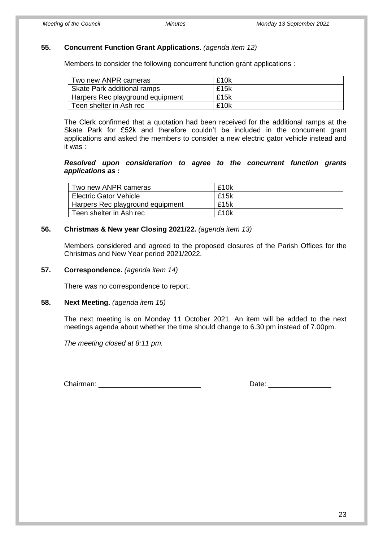#### **55. Concurrent Function Grant Applications.** *(agenda item 12)*

Members to consider the following concurrent function grant applications :

| Two new ANPR cameras             | £10k |
|----------------------------------|------|
| Skate Park additional ramps      | £15k |
| Harpers Rec playground equipment | £15k |
| Teen shelter in Ash rec          | £10k |

The Clerk confirmed that a quotation had been received for the additional ramps at the Skate Park for £52k and therefore couldn't be included in the concurrent grant applications and asked the members to consider a new electric gator vehicle instead and it was :

#### *Resolved upon consideration to agree to the concurrent function grants applications as :*

| Two new ANPR cameras             | £10k |
|----------------------------------|------|
| <b>Electric Gator Vehicle</b>    | £15k |
| Harpers Rec playground equipment | £15k |
| Teen shelter in Ash rec          | £10k |

### **56. Christmas & New year Closing 2021/22.** *(agenda item 13)*

Members considered and agreed to the proposed closures of the Parish Offices for the Christmas and New Year period 2021/2022.

#### **57. Correspondence.** *(agenda item 14)*

There was no correspondence to report.

#### **58. Next Meeting.** *(agenda item 15)*

The next meeting is on Monday 11 October 2021. An item will be added to the next meetings agenda about whether the time should change to 6.30 pm instead of 7.00pm.

*The meeting closed at 8:11 pm.*

Chairman: **Example 2018** Chairman: **Date:**  $\Box$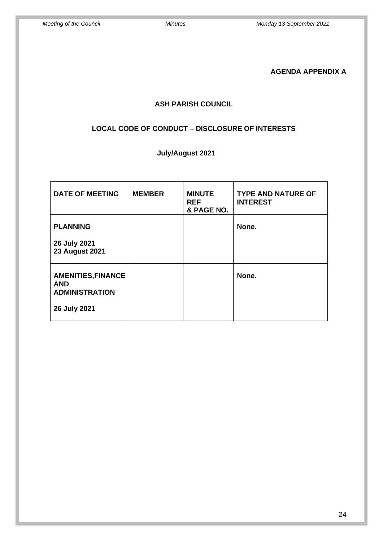**AGENDA APPENDIX A** 

### **ASH PARISH COUNCIL**

### **LOCAL CODE OF CONDUCT – DISCLOSURE OF INTERESTS**

# **July/August 2021**

| <b>DATE OF MEETING</b>                                           | <b>MEMBER</b> | <b>MINUTE</b><br><b>REF</b><br>& PAGE NO. | <b>TYPE AND NATURE OF</b><br><b>INTEREST</b> |
|------------------------------------------------------------------|---------------|-------------------------------------------|----------------------------------------------|
| <b>PLANNING</b>                                                  |               |                                           | None.                                        |
| 26 July 2021<br><b>23 August 2021</b>                            |               |                                           |                                              |
| <b>AMENITIES, FINANCE</b><br><b>AND</b><br><b>ADMINISTRATION</b> |               |                                           | None.                                        |
| 26 July 2021                                                     |               |                                           |                                              |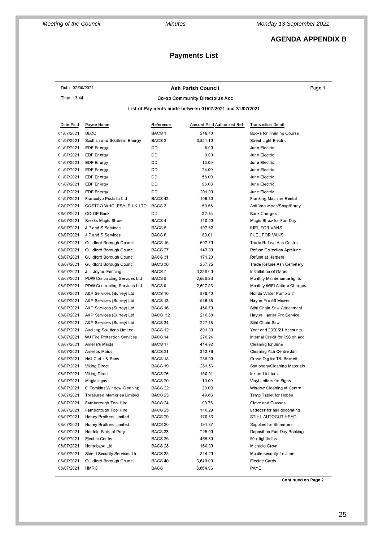*Meeting of the Council Minutes Monday 13 September 2021*

### **AGENDA APPENDIX B**

## **Payments List**

| Date: 02/09/2021                                                                          |                                    |                    | <b>Ash Parish Council</b>  | Page 1                         |  |  |
|-------------------------------------------------------------------------------------------|------------------------------------|--------------------|----------------------------|--------------------------------|--|--|
| Time: 13:44                                                                               |                                    |                    |                            |                                |  |  |
| Co-op Community Directplus Acc<br>List of Payments made between 01/07/2021 and 31/07/2021 |                                    |                    |                            |                                |  |  |
| Date Paid                                                                                 | Payee Name                         | Reference          | Amount Paid Authorized Ref | <b>Transaction Detail</b>      |  |  |
| 01/07/2021                                                                                | <b>SLCC</b>                        | BACS <sub>1</sub>  | 246.40                     | Books for Training Course      |  |  |
| 01/07/2021                                                                                | Scottish and Southern Energy       | BACS <sub>2</sub>  | 3,851.10                   | Street Light Electric          |  |  |
| 01/07/2021                                                                                | EDF Energy                         | DD                 | 8.00                       | June Electric                  |  |  |
| 01/07/2021                                                                                | EDF Energy                         | DD                 | 9.00                       | June Electric                  |  |  |
| 01/07/2021                                                                                | <b>EDF Energy</b>                  | DD                 | 13.00                      | June Electric                  |  |  |
| 01/07/2021                                                                                | <b>EDF Energy</b>                  | DD                 | 24.00                      | June Electric                  |  |  |
| 01/07/2021                                                                                | <b>EDF Energy</b>                  | DD                 | 58.00                      | June Electric                  |  |  |
| 01/07/2021                                                                                | <b>EDF</b> Energy                  | DD                 | 96.00                      | June Electric                  |  |  |
| 01/07/2021                                                                                | <b>EDF Energy</b>                  | DD                 | 201.00                     | June Electric                  |  |  |
| 01/07/2021                                                                                | Francotyp Postalia Ltd             | BACS <sub>43</sub> | 109.80                     | Franking Machine Rental        |  |  |
| 02/07/2021                                                                                | COSTCO WHOLESALE UK LTD            | BACS <sub>3</sub>  | 50.55                      | Anti Vac wipes/Soap/Spray      |  |  |
| 06/07/2021                                                                                | CO-OP Bank                         | DD                 | 32.15                      | <b>Bank Charges</b>            |  |  |
| 08/07/2021                                                                                | Brekks Magic Show                  | BACS <sub>4</sub>  | 110.00                     | Magic Show for Fun Day         |  |  |
| 08/07/2021                                                                                | J P and S Services                 | BACS <sub>5</sub>  | 102.52                     | fUEL FOR VANS                  |  |  |
| 08/07/2021                                                                                | J P and S Services                 | BACS 6             | 80.01                      | <b>FUEL FOR VANS</b>           |  |  |
| 08/07/2021                                                                                | Guildford Borough Council          | BACS <sub>15</sub> | 502.70                     | Trade Refuse Ash Centre        |  |  |
| 08/07/2021                                                                                | Guildford Borough Council          | BACS 27            | 143.00                     | Refuse Collection Apr/June     |  |  |
| 08/07/2021                                                                                | Guildford Borough Council          | BACS 31            | 171.20                     | Refuse at Harpers              |  |  |
| 08/07/2021                                                                                | Guildford Borough Council          | BACS 36            | 237.25                     | Trade Refuse Ash Cemetery      |  |  |
| 08/07/2021                                                                                | J.L. Joyce. Fencing                | BACS 7             | 3,338.00                   | Installation of Gates          |  |  |
| 08/07/2021                                                                                | PDW Contracting Services Ltd       | BACS 8             | 2,668.93                   | Monthly Maintenance lights     |  |  |
| 08/07/2021                                                                                | PDW Contracting Services Ltd       | BACS <sub>9</sub>  | 2,607.93                   | Monthly WIFI Airtime Charges   |  |  |
| 08/07/2021                                                                                | A&P Services (Surrey) Ltd          | BACS 10            | 878.40                     | Honda Water Pump x 2           |  |  |
| 08/07/2021                                                                                | A&P Services (Surrey) Ltd          | BACS <sub>13</sub> | 546.88                     | Hayter Pro 56 Mower            |  |  |
| 08/07/2021                                                                                | A&P Services (Surrey) Ltd          | BACS 16            | 450.70                     | Stihl Chain Saw Attachment     |  |  |
| 08/07/2021                                                                                |                                    | BACS 32            | 216.68                     |                                |  |  |
|                                                                                           | A&P Services (Surrey) Ltd          |                    |                            | Hayter Harrier Pro Service     |  |  |
| 08/07/2021                                                                                | A&P Services (Surrey) Ltd          | BACS 34            | 227.18                     | Stihl Chain Saw                |  |  |
| 08/07/2021                                                                                | Auditing Solutions Limited         | BACS <sub>12</sub> | 801.00                     | Year end 2020/21 Accounts      |  |  |
| 08/07/2021                                                                                | <b>WJ Fire Protection Services</b> | BACS <sub>14</sub> | 276.24                     | Internal Credit for £96 on acc |  |  |
| 08/07/2021                                                                                | Amelia's Maids                     | BACS 17            | 414.92                     | Cleaning for June              |  |  |
| 08/07/2021                                                                                | <b>Amelias Maids</b>               | BACS <sub>21</sub> | 342.76                     | Cleaning Ash Centre Jan        |  |  |
| 08/07/2021                                                                                | Neil Curtis & Sons                 | BACS <sub>18</sub> | 285.00                     | Grave Dig for T/L Beckett      |  |  |
| 08/07/2021                                                                                | <b>Viking Direct</b>               | BACS <sub>19</sub> | 281.56                     | Stationary/Cleaning Materials  |  |  |
| 08/07/2021                                                                                | <b>Viking Direct</b>               | BACS <sub>26</sub> | 150.91                     | Ink and folders                |  |  |
| 08/07/2021                                                                                | Magic signs                        | BACS <sub>20</sub> | 10.00                      | Vinyl Letters for Signs        |  |  |
| 08/07/2021                                                                                | G Tomkins Window Cleaning          | BACS <sub>22</sub> | 20.00                      | Window Cleaning at Centre      |  |  |
| 08/07/2021                                                                                | <b>Treasured Memories Limited</b>  | BACS <sub>23</sub> | 49.86                      | Temp Tablet for Hobbs          |  |  |
| 08/07/2021                                                                                | Farnborough Tool Hire              | BACS <sub>24</sub> | 99.75                      | Glove and Glasses              |  |  |
| 08/07/2021                                                                                | Farnborough Tool Hire              | <b>BACS 25</b>     | 110.29                     | Ladeder for hall decorating    |  |  |
| 08/07/2021                                                                                | Honey Brothers Limited             | BACS <sub>29</sub> | 170.86                     | STIHL AUTOCUT HEAD             |  |  |
| 08/07/2021                                                                                | Honey Brothers Limited             | BACS 30            | 191.87                     | Supplies for Strimmers         |  |  |
| 08/07/2021                                                                                | Henfold Birds of Prey              | BACS 33            | 225.00                     | Deposit on Fun Day Booking     |  |  |
| 08/07/2021                                                                                | Electric Center                    | BACS 35            | 469.80                     | 50 x lightbulbs                |  |  |
| 08/07/2021                                                                                | Homebase Ltd                       | BACS <sub>28</sub> | 160.00                     | Micracle Grow                  |  |  |
| 08/07/2021                                                                                | Shield Security Services Ltd       | BACS 38            | 814.20                     | Mobile security for June       |  |  |
| 08/07/2021                                                                                | Guildford Borough Council          | BACS 40            | 3,640.00                   | <b>Electric Cards</b>          |  |  |
| 08/07/2021                                                                                | HMRC                               | <b>BACS</b>        | 3,664.96                   | PAYE                           |  |  |

**Continued on Page 2**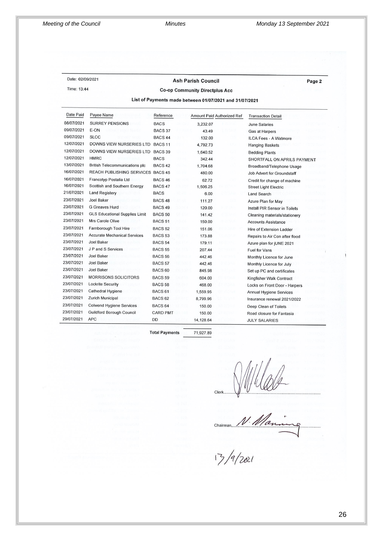Date: 02/09/2021

Time: 13:44

#### **Ash Parish Council**

Page 2

#### **Co-op Community Directplus Acc**

List of Payments made between 01/07/2021 and 31/07/2021

| Date Paid  | Payee Name                            | Reference          | Amount Paid Authorized Ref | <b>Transaction Detail</b>         |
|------------|---------------------------------------|--------------------|----------------------------|-----------------------------------|
| 08/07/2021 | <b>SURREY PENSIONS</b>                | <b>BACS</b>        | 3,232.07                   | <b>June Salaries</b>              |
| 09/07/2021 | E-ON                                  | BACS 37            | 43.49                      | <b>Gas at Harpers</b>             |
| 09/07/2021 | <b>SLCC</b>                           | BACS <sub>44</sub> | 132.00                     | ILCA Fees - A Watmore             |
| 12/07/2021 | DOWNS VIEW NURSERIES LTD              | BACS <sub>11</sub> | 4,792.73                   | <b>Hanging Baskets</b>            |
| 12/07/2021 | DOWNS VIEW NURSERIES LTD              | BACS 39            | 1,640.52                   | <b>Bedding Plants</b>             |
| 12/07/2021 | <b>HMRC</b>                           | <b>BACS</b>        | 342.44                     | SHORTFALL ON APRILS PAYMENT       |
| 13/07/2021 | <b>British Telecommunications plc</b> | BACS <sub>42</sub> | 1,704.68                   | Broadband/Telephone Usage         |
| 16/07/2021 | REACH PUBLISHING SERVICES BACS 45     |                    | 480.00                     | <b>Job Advert for Groundstaff</b> |
| 16/07/2021 | Francotyp Postalia Ltd                | BACS <sub>46</sub> | 62.72                      | Credit for change of machine      |
| 16/07/2021 | Scottish and Southern Energy          | BACS 47            | 1,506.25                   | <b>Street Light Electric</b>      |
| 21/07/2021 | <b>Land Registery</b>                 | <b>BACS</b>        | 6.00                       | <b>Land Search</b>                |
| 23/07/2021 | <b>Joel Baker</b>                     | BACS <sub>48</sub> | 111.27                     | Azure Plan for May                |
| 23/07/2021 | <b>G</b> Greaves Hurd                 | BACS <sub>49</sub> | 120.00                     | Install PIR Sensor in Toilets     |
| 23/07/2021 | <b>GLS Educational Supplies Limit</b> | <b>BACS 50</b>     | 141.42                     | Cleaning materials/stationery     |
| 23/07/2021 | Mrs Carole Olive                      | <b>BACS 51</b>     | 150.00                     | <b>Accounts Assistance</b>        |
| 23/07/2021 | Farnborough Tool Hire                 | BACS <sub>52</sub> | 151.06                     | Hire of Extension Ladder          |
| 23/07/2021 | <b>Accurate Mechanical Services</b>   | <b>BACS 53</b>     | 173.88                     | Repairs to Air Con after flood    |
| 23/07/2021 | <b>Joel Baker</b>                     | BACS <sub>54</sub> | 179.11                     | Azure plan for jUNE 2021          |
| 23/07/2021 | J P and S Services                    | <b>BACS 55</b>     | 207.44                     | <b>Fuel for Vans</b>              |
| 23/07/2021 | <b>Joel Baker</b>                     | BACS <sub>56</sub> | 442.46                     | Monthly Licence for June          |
| 23/07/2021 | Joel Baker                            | <b>BACS 57</b>     | 442.46                     | Monthly Licence for July          |
| 23/07/2021 | <b>Joel Baker</b>                     | BACS <sub>60</sub> | 845.98                     | Set up PC and certificates        |
| 23/07/2021 | <b>MORRISONS SOLICITORS</b>           | BACS <sub>59</sub> | 604.00                     | Kingfisher Walk Contract          |
| 23/07/2021 | <b>Lockrite Security</b>              | <b>BACS 58</b>     | 468.00                     | Locks on Front Door - Harpers     |
| 23/07/2021 | Cathedral Hygiene                     | BACS <sub>61</sub> | 1,559.95                   | Annual Hygiene Services           |
| 23/07/2021 | Zurich Municipal                      | BACS <sub>62</sub> | 8,799.96                   | Insurance renewal 2021/2022       |
| 23/07/2021 | <b>Colwend Hygiene Services</b>       | BACS <sub>64</sub> | 150.00                     | Deep Clean of Toilets             |
| 23/07/2021 | <b>Guildford Borough Council</b>      | <b>CARD PMT</b>    | 150.00                     | Road closure for Fantasia         |
| 29/07/2021 | <b>APC</b>                            | DD                 | 14,128.64                  | <b>JULY SALARIES</b>              |

**Total Payments** 

71,927.89

Clerk  $N$  Wallet